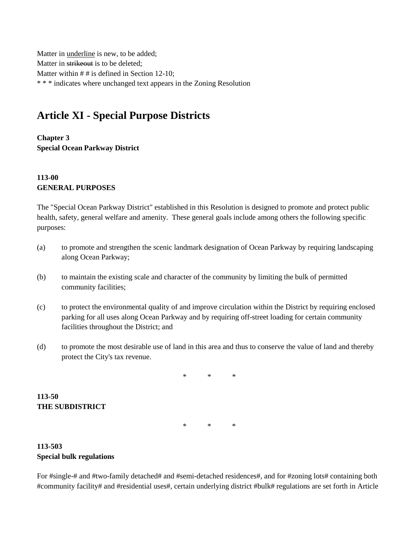Matter in underline is new, to be added; Matter in strikeout is to be deleted; Matter within # # is defined in Section 12-10; \* \* \* indicates where unchanged text appears in the Zoning Resolution

# **Article XI - Special Purpose Districts**

**Chapter 3 Special Ocean Parkway District**

## **113-00 GENERAL PURPOSES**

The "Special Ocean Parkway District" established in this Resolution is designed to promote and protect public health, safety, general welfare and amenity. These general goals include among others the following specific purposes:

- (a) to promote and strengthen the scenic landmark designation of Ocean Parkway by requiring landscaping along Ocean Parkway;
- (b) to maintain the existing scale and character of the community by limiting the bulk of permitted community facilities;
- (c) to protect the environmental quality of and improve circulation within the District by requiring enclosed parking for all uses along Ocean Parkway and by requiring off-street loading for certain community facilities throughout the District; and
- (d) to promote the most desirable use of land in this area and thus to conserve the value of land and thereby protect the City's tax revenue.

\* \* \*

\* \* \*

**113-50 THE SUBDISTRICT**

**113-503 Special bulk regulations**

For #single-# and #two-family detached# and #semi-detached residences#, and for #zoning lots# containing both #community facility# and #residential uses#, certain underlying district #bulk# regulations are set forth in Article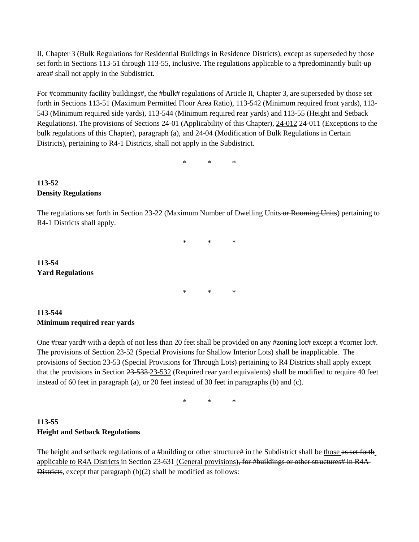II, Chapter 3 (Bulk Regulations for Residential Buildings in Residence Districts), except as superseded by those set forth in Sections 113-51 through 113-55, inclusive. The regulations applicable to a #predominantly built-up area# shall not apply in the Subdistrict.

For #community facility buildings#, the #bulk# regulations of Article II, Chapter 3, are superseded by those set forth in Sections 113-51 (Maximum Permitted Floor Area Ratio), 113-542 (Minimum required front yards), 113- 543 (Minimum required side yards), 113-544 (Minimum required rear yards) and 113-55 (Height and Setback Regulations). The provisions of Sections 24-01 (Applicability of this Chapter), 24-012 24-011 (Exceptions to the bulk regulations of this Chapter), paragraph (a), and 24-04 (Modification of Bulk Regulations in Certain Districts), pertaining to R4-1 Districts, shall not apply in the Subdistrict.

\* \* \*

#### **113-52 Density Regulations**

**113-54**

**Yard Regulations**

The regulations set forth in Section 23-22 (Maximum Number of Dwelling Units or Rooming Units) pertaining to R4-1 Districts shall apply.

> \* \* \* \* \* \*

### **113-544 Minimum required rear yards**

One #rear yard# with a depth of not less than 20 feet shall be provided on any #zoning lot# except a #corner lot#. The provisions of Section 23-52 (Special Provisions for Shallow Interior Lots) shall be inapplicable. The provisions of Section 23-53 (Special Provisions for Through Lots) pertaining to R4 Districts shall apply except that the provisions in Section 23-533 23-532 (Required rear yard equivalents) shall be modified to require 40 feet instead of 60 feet in paragraph (a), or 20 feet instead of 30 feet in paragraphs (b) and (c).

\* \* \*

## **113-55 Height and Setback Regulations**

The height and setback regulations of a #building or other structure# in the Subdistrict shall be those as set forth applicable to R4A Districts in Section 23-631 (General provisions), for #buildings or other structures# in R4A-Districts, except that paragraph (b)(2) shall be modified as follows: